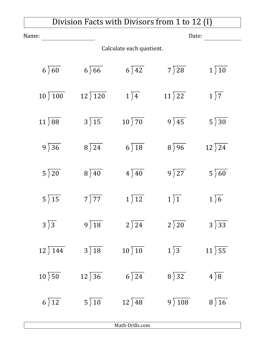## Division Facts with Divisors from 1 to 12 (I)

| Name:                            |                            | Date:                       |                            |                            |  |  |
|----------------------------------|----------------------------|-----------------------------|----------------------------|----------------------------|--|--|
| Calculate each quotient.         |                            |                             |                            |                            |  |  |
| $6\overline{)60}$                | $6\sqrt{66}$               | $6\overline{\smash{)}\,42}$ | $7\overline{\smash{)}28}$  | $1\overline{\smash{)}10}$  |  |  |
| $10\overline{\smash)100}$        | $12)$ 120                  | $1\overline{)4}$            | $11\overline{\smash{)}22}$ | $1\overline{)7}$           |  |  |
| $11\overline{)88}$               | $3\overline{)15}$          | $10\overline{\smash{)}70}$  | $9\overline{)45}$          | $5\overline{\smash{)}30}$  |  |  |
| $9\overline{)36}$                | $8\overline{\smash{)}24}$  | $6\overline{\smash{)}18}$   | $8\sqrt{96}$               | $12\overline{\smash{)}24}$ |  |  |
| $5\overline{\smash{)}20}$        | $8\sqrt{40}$               | $4\sqrt{40}$                | $9\sqrt{27}$               | $5\sqrt{60}$               |  |  |
| $5\overline{\smash{)}15}$        | $7\overline{)77}$          | 1)12                        | $1\overline{)1}$           | $1\sqrt{6}$                |  |  |
| $3\overline{)3}$                 | $9\overline{)18}$          | $2\sqrt{24}$                | $2\sqrt{20}$               | $3\overline{)33}$          |  |  |
| $12)$ 144                        | $3\sqrt{18}$               | $10\overline{\smash{)}10}$  | $1\sqrt{3}$                | 11)55                      |  |  |
| $10\overline{\smash{\big)}\,50}$ | $12\overline{\smash{)}36}$ | $6\overline{\smash{)}24}$   | $8\sqrt{32}$               | $4\sqrt{8}$                |  |  |
| $6\overline{\smash{)}12}$        | $5\overline{\smash{)}10}$  | $12)$ 48                    | 9)108                      | $8\overline{)16}$          |  |  |

Math-Drills.com